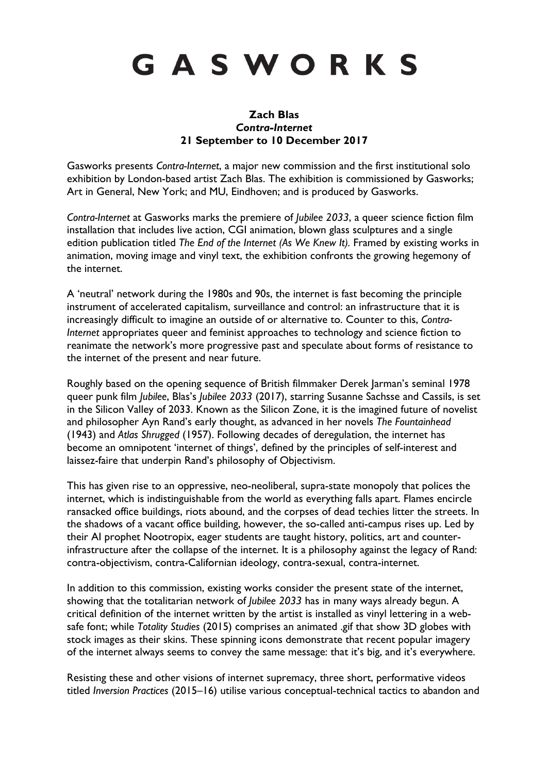# GASWORKS

## **Zach Blas** *Contra-Internet* **21 September to 10 December 2017**

Gasworks presents *Contra-Internet*, a major new commission and the first institutional solo exhibition by London-based artist Zach Blas. The exhibition is commissioned by Gasworks; Art in General, New York; and MU, Eindhoven; and is produced by Gasworks.

*Contra-Internet* at Gasworks marks the premiere of *Jubilee 2033*, a queer science fiction film installation that includes live action, CGI animation, blown glass sculptures and a single edition publication titled *The End of the Internet (As We Knew It).* Framed by existing works in animation, moving image and vinyl text, the exhibition confronts the growing hegemony of the internet.

A 'neutral' network during the 1980s and 90s, the internet is fast becoming the principle instrument of accelerated capitalism, surveillance and control: an infrastructure that it is increasingly difficult to imagine an outside of or alternative to. Counter to this, *Contra-Internet* appropriates queer and feminist approaches to technology and science fiction to reanimate the network's more progressive past and speculate about forms of resistance to the internet of the present and near future.

Roughly based on the opening sequence of British filmmaker Derek Jarman's seminal 1978 queer punk film *Jubilee*, Blas's *Jubilee 2033* (2017), starring Susanne Sachsse and Cassils, is set in the Silicon Valley of 2033. Known as the Silicon Zone, it is the imagined future of novelist and philosopher Ayn Rand's early thought, as advanced in her novels *The Fountainhead* (1943) and *Atlas Shrugged* (1957). Following decades of deregulation, the internet has become an omnipotent 'internet of things', defined by the principles of self-interest and laissez-faire that underpin Rand's philosophy of Objectivism.

This has given rise to an oppressive, neo-neoliberal, supra-state monopoly that polices the internet, which is indistinguishable from the world as everything falls apart. Flames encircle ransacked office buildings, riots abound, and the corpses of dead techies litter the streets. In the shadows of a vacant office building, however, the so-called anti-campus rises up. Led by their AI prophet Nootropix, eager students are taught history, politics, art and counterinfrastructure after the collapse of the internet. It is a philosophy against the legacy of Rand: contra-objectivism, contra-Californian ideology, contra-sexual, contra-internet.

In addition to this commission, existing works consider the present state of the internet, showing that the totalitarian network of *Jubilee 2033* has in many ways already begun. A critical definition of the internet written by the artist is installed as vinyl lettering in a websafe font; while *Totality Studies* (2015) comprises an animated .gif that show 3D globes with stock images as their skins. These spinning icons demonstrate that recent popular imagery of the internet always seems to convey the same message: that it's big, and it's everywhere.

Resisting these and other visions of internet supremacy, three short, performative videos titled *Inversion Practices* (2015–16) utilise various conceptual-technical tactics to abandon and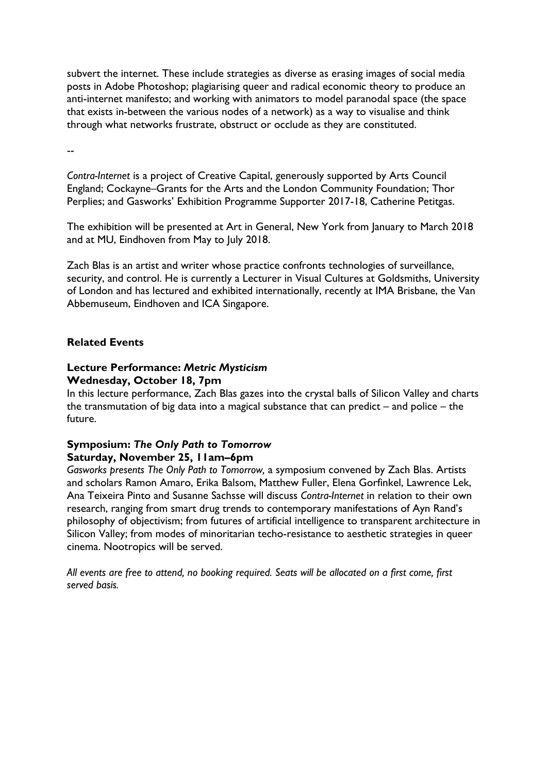subvert the internet. These include strategies as diverse as erasing images of social media posts in Adobe Photoshop; plagiarising queer and radical economic theory to produce an anti-internet manifesto; and working with animators to model paranodal space (the space that exists in-between the various nodes of a network) as a way to visualise and think through what networks frustrate, obstruct or occlude as they are constituted.

--

*Contra-Internet* is a project of Creative Capital, generously supported by Arts Council England; Cockayne–Grants for the Arts and the London Community Foundation; Thor Perplies; and Gasworks' Exhibition Programme Supporter 2017-18, Catherine Petitgas.

The exhibition will be presented at Art in General, New York from January to March 2018 and at MU, Eindhoven from May to July 2018.

Zach Blas is an artist and writer whose practice confronts technologies of surveillance, security, and control. He is currently a Lecturer in Visual Cultures at Goldsmiths, University of London and has lectured and exhibited internationally, recently at IMA Brisbane, the Van Abbemuseum, Eindhoven and ICA Singapore.

## **Related Events**

## **Lecture Performance:** *Metric Mysticism* **Wednesday, October 18, 7pm**

In this lecture performance, Zach Blas gazes into the crystal balls of Silicon Valley and charts the transmutation of big data into a magical substance that can predict – and police – the future.

## **Symposium:** *The Only Path to Tomorrow* **Saturday, November 25, 11am–6pm**

*Gasworks presents The Only Path to Tomorrow,* a symposium convened by Zach Blas. Artists and scholars Ramon Amaro, Erika Balsom, Matthew Fuller, Elena Gorfinkel, Lawrence Lek, Ana Teixeira Pinto and Susanne Sachsse will discuss *Contra-Internet* in relation to their own research, ranging from smart drug trends to contemporary manifestations of Ayn Rand's philosophy of objectivism; from futures of artificial intelligence to transparent architecture in Silicon Valley; from modes of minoritarian techo-resistance to aesthetic strategies in queer cinema. Nootropics will be served.

*All events are free to attend, no booking required. Seats will be allocated on a first come, first served basis.*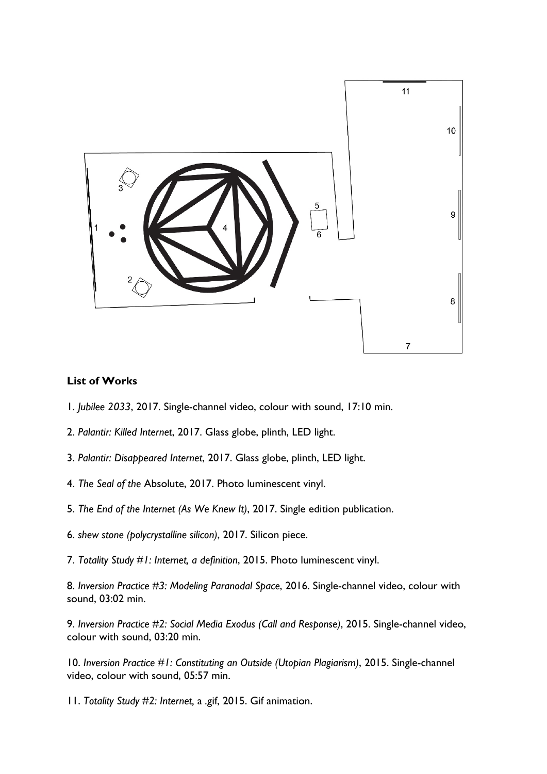

#### **List of Works**

- 1. *Jubilee 2033*, 2017. Single-channel video, colour with sound, 17:10 min.
- 2. *Palantir: Killed Internet*, 2017. Glass globe, plinth, LED light.
- 3. *Palantir: Disappeared Internet*, 2017. Glass globe, plinth, LED light.
- 4. *The Seal of the* Absolute, 2017. Photo luminescent vinyl.
- 5. *The End of the Internet (As We Knew It)*, 2017. Single edition publication.
- 6. *shew stone (polycrystalline silicon)*, 2017. Silicon piece.
- 7. *Totality Study #1: Internet, a definition*, 2015. Photo luminescent vinyl.

8. *Inversion Practice #3: Modeling Paranodal Space*, 2016. Single-channel video, colour with sound, 03:02 min.

9. *Inversion Practice #2: Social Media Exodus (Call and Response)*, 2015. Single-channel video, colour with sound, 03:20 min.

10. *Inversion Practice #1: Constituting an Outside (Utopian Plagiarism)*, 2015. Single-channel video, colour with sound, 05:57 min.

11. *Totality Study #2: Internet,* a *.*gif, 2015. Gif animation.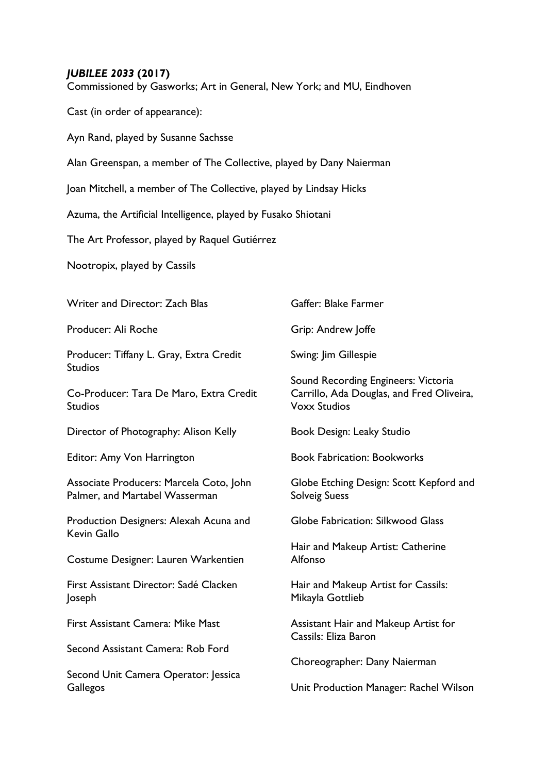## *JUBILEE 2033* **(2017)**

Commissioned by Gasworks; Art in General, New York; and MU, Eindhoven

Cast (in order of appearance):

Ayn Rand, played by Susanne Sachsse

Alan Greenspan, a member of The Collective, played by Dany Naierman

Joan Mitchell, a member of The Collective, played by Lindsay Hicks

Azuma, the Artificial Intelligence, played by Fusako Shiotani

The Art Professor, played by Raquel Gutiérrez

Nootropix, played by Cassils

| Writer and Director: Zach Blas                                            | Gaffer: Blake Farmer                                                                                    |
|---------------------------------------------------------------------------|---------------------------------------------------------------------------------------------------------|
| Producer: Ali Roche                                                       | Grip: Andrew Joffe                                                                                      |
| Producer: Tiffany L. Gray, Extra Credit<br><b>Studios</b>                 | Swing: Jim Gillespie                                                                                    |
| Co-Producer: Tara De Maro, Extra Credit<br><b>Studios</b>                 | Sound Recording Engineers: Victoria<br>Carrillo, Ada Douglas, and Fred Oliveira,<br><b>Voxx Studios</b> |
| Director of Photography: Alison Kelly                                     | Book Design: Leaky Studio                                                                               |
| Editor: Amy Von Harrington                                                | <b>Book Fabrication: Bookworks</b>                                                                      |
| Associate Producers: Marcela Coto, John<br>Palmer, and Martabel Wasserman | Globe Etching Design: Scott Kepford and<br><b>Solveig Suess</b>                                         |
| Production Designers: Alexah Acuna and<br>Kevin Gallo                     | Globe Fabrication: Silkwood Glass                                                                       |
| Costume Designer: Lauren Warkentien                                       | Hair and Makeup Artist: Catherine<br>Alfonso                                                            |
| First Assistant Director: Sadé Clacken<br>Joseph                          | Hair and Makeup Artist for Cassils:<br>Mikayla Gottlieb                                                 |
| First Assistant Camera: Mike Mast                                         | Assistant Hair and Makeup Artist for<br>Cassils: Eliza Baron                                            |
| Second Assistant Camera: Rob Ford                                         | Choreographer: Dany Naierman                                                                            |
| Second Unit Camera Operator: Jessica<br>Gallegos                          | Unit Production Manager: Rachel Wilson                                                                  |